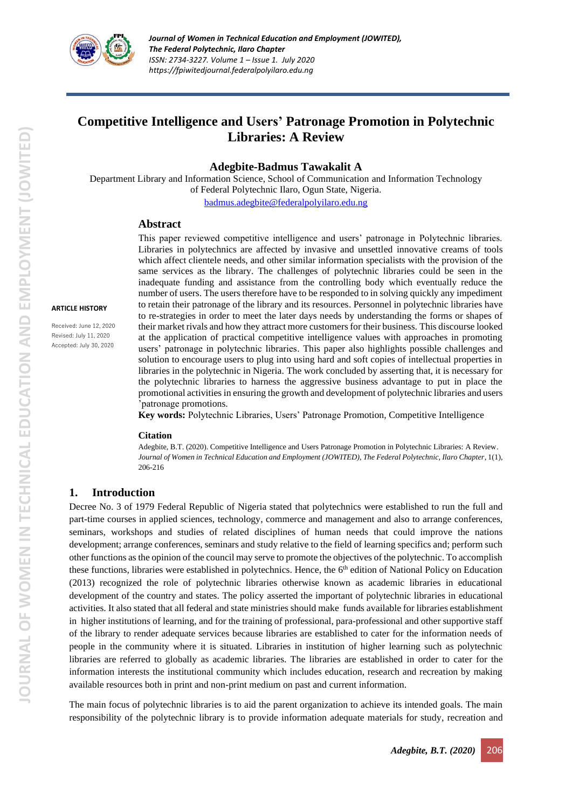

# **Competitive Intelligence and Users' Patronage Promotion in Polytechnic Libraries: A Review**

#### **Adegbite-Badmus Tawakalit A**

Department Library and Information Science, School of Communication and Information Technology of Federal Polytechnic Ilaro, Ogun State, Nigeria.

[badmus.adegbite@federalpolyilaro.edu.ng](mailto:badmus.adegbite@federalpolyilaro.edu.ng)

#### **Abstract**

#### **ARTICLE HISTORY**

Received: June 12, 2020 Revised: July 11, 2020 Accepted: July 30, 2020

This paper reviewed competitive intelligence and users' patronage in Polytechnic libraries. Libraries in polytechnics are affected by invasive and unsettled innovative creams of tools which affect clientele needs, and other similar information specialists with the provision of the same services as the library. The challenges of polytechnic libraries could be seen in the inadequate funding and assistance from the controlling body which eventually reduce the number of users. The users therefore have to be responded to in solving quickly any impediment to retain their patronage of the library and its resources. Personnel in polytechnic libraries have to re-strategies in order to meet the later days needs by understanding the forms or shapes of their market rivals and how they attract more customers for their business. This discourse looked at the application of practical competitive intelligence values with approaches in promoting users' patronage in polytechnic libraries. This paper also highlights possible challenges and solution to encourage users to plug into using hard and soft copies of intellectual properties in libraries in the polytechnic in Nigeria. The work concluded by asserting that, it is necessary for the polytechnic libraries to harness the aggressive business advantage to put in place the promotional activities in ensuring the growth and development of polytechnic libraries and users 'patronage promotions.

**Key words:** Polytechnic Libraries, Users' Patronage Promotion, Competitive Intelligence

#### **Citation**

Adegbite, B.T. (2020). Competitive Intelligence and Users Patronage Promotion in Polytechnic Libraries: A Review. *Journal of Women in Technical Education and Employment (JOWITED), The Federal Polytechnic, Ilaro Chapter*, 1(1), 206-216

#### **1. Introduction**

Decree No. 3 of 1979 Federal Republic of Nigeria stated that polytechnics were established to run the full and part-time courses in applied sciences, technology, commerce and management and also to arrange conferences, seminars, workshops and studies of related disciplines of human needs that could improve the nations development; arrange conferences, seminars and study relative to the field of learning specifics and; perform such other functions as the opinion of the council may serve to promote the objectives of the polytechnic. To accomplish these functions, libraries were established in polytechnics. Hence, the  $6<sup>th</sup>$  edition of National Policy on Education (2013) recognized the role of polytechnic libraries otherwise known as academic libraries in educational development of the country and states. The policy asserted the important of polytechnic libraries in educational activities. It also stated that all federal and state ministries should make funds available for libraries establishment in higher institutions of learning, and for the training of professional, para-professional and other supportive staff of the library to render adequate services because libraries are established to cater for the information needs of people in the community where it is situated. Libraries in institution of higher learning such as polytechnic libraries are referred to globally as academic libraries. The libraries are established in order to cater for the information interests the institutional community which includes education, research and recreation by making available resources both in print and non-print medium on past and current information.

The main focus of polytechnic libraries is to aid the parent organization to achieve its intended goals. The main responsibility of the polytechnic library is to provide information adequate materials for study, recreation and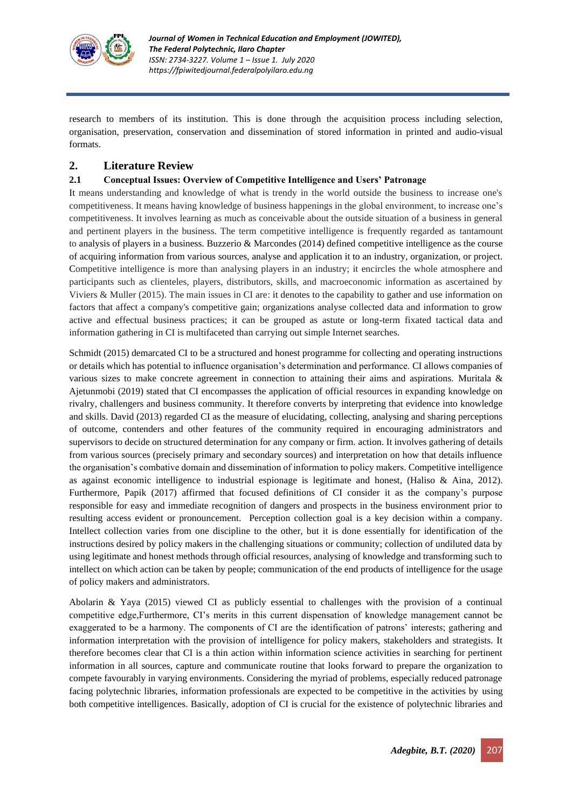

research to members of its institution. This is done through the acquisition process including selection, organisation, preservation, conservation and dissemination of stored information in printed and audio-visual formats.

# **2. Literature Review**

### **2.1 Conceptual Issues: Overview of Competitive Intelligence and Users' Patronage**

It means understanding and knowledge of what is trendy in the world outside the business to increase one's competitiveness. It means having knowledge of business happenings in the global environment, to increase one's competitiveness. It involves learning as much as conceivable about the outside situation of a business in general and pertinent players in the business. The term competitive intelligence is frequently regarded as tantamount to analysis of players in a business. Buzzerio & Marcondes (2014) defined competitive intelligence as the course of acquiring information from various sources, analyse and application it to an industry, organization, or project. Competitive intelligence is more than analysing players in an industry; it encircles the whole atmosphere and participants such as clienteles, players, distributors, skills, and macroeconomic information as ascertained by Viviers & Muller (2015). The main issues in CI are: it denotes to the capability to gather and use information on factors that affect a company's competitive gain; organizations analyse collected data and information to grow active and effectual business practices; it can be grouped as astute or long-term fixated tactical data and information gathering in CI is multifaceted than carrying out simple Internet searches.

Schmidt (2015) demarcated CI to be a structured and honest programme for collecting and operating instructions or details which has potential to influence organisation's determination and performance. CI allows companies of various sizes to make concrete agreement in connection to attaining their aims and aspirations. Muritala & Ajetunmobi (2019) stated that CI encompasses the application of official resources in expanding knowledge on rivalry, challengers and business community. It therefore converts by interpreting that evidence into knowledge and skills. David (2013) regarded CI as the measure of elucidating, collecting, analysing and sharing perceptions of outcome, contenders and other features of the community required in encouraging administrators and supervisors to decide on structured determination for any company or firm. action. It involves gathering of details from various sources (precisely primary and secondary sources) and interpretation on how that details influence the organisation's combative domain and dissemination of information to policy makers. Competitive intelligence as against economic intelligence to industrial espionage is legitimate and honest, (Haliso & Aina, 2012). Furthermore, Papik (2017) affirmed that focused definitions of CI consider it as the company's purpose responsible for easy and immediate recognition of dangers and prospects in the business environment prior to resulting access evident or pronouncement. Perception collection goal is a key decision within a company. Intellect collection varies from one discipline to the other, but it is done essentially for identification of the instructions desired by policy makers in the challenging situations or community; collection of undiluted data by using legitimate and honest methods through official resources, analysing of knowledge and transforming such to intellect on which action can be taken by people; communication of the end products of intelligence for the usage of policy makers and administrators.

Abolarin & Yaya (2015) viewed CI as publicly essential to challenges with the provision of a continual competitive edge,Furthermore, CI's merits in this current dispensation of knowledge management cannot be exaggerated to be a harmony. The components of CI are the identification of patrons' interests; gathering and information interpretation with the provision of intelligence for policy makers, stakeholders and strategists. It therefore becomes clear that CI is a thin action within information science activities in searching for pertinent information in all sources, capture and communicate routine that looks forward to prepare the organization to compete favourably in varying environments. Considering the myriad of problems, especially reduced patronage facing polytechnic libraries, information professionals are expected to be competitive in the activities by using both competitive intelligences. Basically, adoption of CI is crucial for the existence of polytechnic libraries and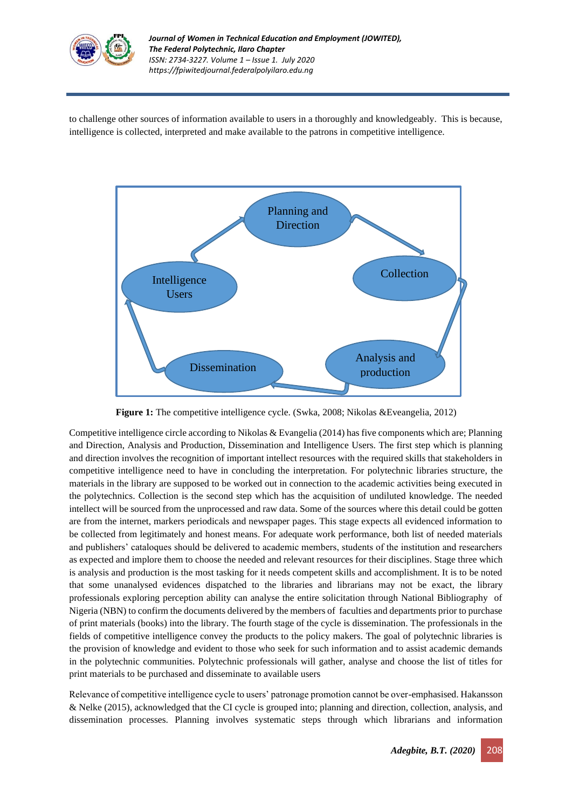

to challenge other sources of information available to users in a thoroughly and knowledgeably. This is because, intelligence is collected, interpreted and make available to the patrons in competitive intelligence.



 **Figure 1:** The competitive intelligence cycle. (Swka, 2008; Nikolas &Eveangelia, 2012)

Competitive intelligence circle according to Nikolas & Evangelia (2014) has five components which are; Planning and Direction, Analysis and Production, Dissemination and Intelligence Users. The first step which is planning and direction involves the recognition of important intellect resources with the required skills that stakeholders in competitive intelligence need to have in concluding the interpretation. For polytechnic libraries structure, the materials in the library are supposed to be worked out in connection to the academic activities being executed in the polytechnics. Collection is the second step which has the acquisition of undiluted knowledge. The needed intellect will be sourced from the unprocessed and raw data. Some of the sources where this detail could be gotten are from the internet, markers periodicals and newspaper pages. This stage expects all evidenced information to be collected from legitimately and honest means. For adequate work performance, both list of needed materials and publishers' cataloques should be delivered to academic members, students of the institution and researchers as expected and implore them to choose the needed and relevant resources for their disciplines. Stage three which is analysis and production is the most tasking for it needs competent skills and accomplishment. It is to be noted that some unanalysed evidences dispatched to the libraries and librarians may not be exact, the library professionals exploring perception ability can analyse the entire solicitation through National Bibliography of Nigeria (NBN) to confirm the documents delivered by the members of faculties and departments prior to purchase of print materials (books) into the library. The fourth stage of the cycle is dissemination. The professionals in the fields of competitive intelligence convey the products to the policy makers. The goal of polytechnic libraries is the provision of knowledge and evident to those who seek for such information and to assist academic demands in the polytechnic communities. Polytechnic professionals will gather, analyse and choose the list of titles for print materials to be purchased and disseminate to available users

Relevance of competitive intelligence cycle to users' patronage promotion cannot be over-emphasised. Hakansson & Nelke (2015), acknowledged that the CI cycle is grouped into; planning and direction, collection, analysis, and dissemination processes. Planning involves systematic steps through which librarians and information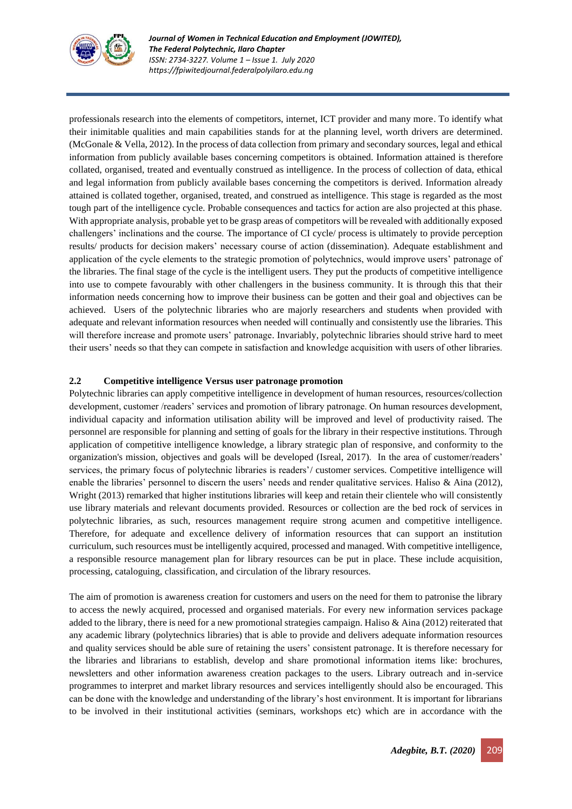

professionals research into the elements of competitors, internet, ICT provider and many more. To identify what their inimitable qualities and main capabilities stands for at the planning level, worth drivers are determined. (McGonale & Vella, 2012). In the process of data collection from primary and secondary sources, legal and ethical information from publicly available bases concerning competitors is obtained. Information attained is therefore collated, organised, treated and eventually construed as intelligence. In the process of collection of data, ethical and legal information from publicly available bases concerning the competitors is derived. Information already attained is collated together, organised, treated, and construed as intelligence. This stage is regarded as the most tough part of the intelligence cycle. Probable consequences and tactics for action are also projected at this phase. With appropriate analysis, probable yet to be grasp areas of competitors will be revealed with additionally exposed challengers' inclinations and the course. The importance of CI cycle/ process is ultimately to provide perception results/ products for decision makers' necessary course of action (dissemination). Adequate establishment and application of the cycle elements to the strategic promotion of polytechnics, would improve users' patronage of the libraries. The final stage of the cycle is the intelligent users. They put the products of competitive intelligence into use to compete favourably with other challengers in the business community. It is through this that their information needs concerning how to improve their business can be gotten and their goal and objectives can be achieved. Users of the polytechnic libraries who are majorly researchers and students when provided with adequate and relevant information resources when needed will continually and consistently use the libraries. This will therefore increase and promote users' patronage. Invariably, polytechnic libraries should strive hard to meet their users' needs so that they can compete in satisfaction and knowledge acquisition with users of other libraries.

#### **2.2 Competitive intelligence Versus user patronage promotion**

Polytechnic libraries can apply competitive intelligence in development of human resources, resources/collection development, customer /readers' services and promotion of library patronage. On human resources development, individual capacity and information utilisation ability will be improved and level of productivity raised. The personnel are responsible for planning and setting of goals for the library in their respective institutions. Through application of competitive intelligence knowledge, a library strategic plan of responsive, and conformity to the organization's mission, objectives and goals will be developed (Isreal, 2017). In the area of customer/readers' services, the primary focus of polytechnic libraries is readers'/ customer services. Competitive intelligence will enable the libraries' personnel to discern the users' needs and render qualitative services. Haliso & Aina (2012), Wright (2013) remarked that higher institutions libraries will keep and retain their clientele who will consistently use library materials and relevant documents provided. Resources or collection are the bed rock of services in polytechnic libraries, as such, resources management require strong acumen and competitive intelligence. Therefore, for adequate and excellence delivery of information resources that can support an institution curriculum, such resources must be intelligently acquired, processed and managed. With competitive intelligence, a responsible resource management plan for library resources can be put in place. These include acquisition, processing, cataloguing, classification, and circulation of the library resources.

The aim of promotion is awareness creation for customers and users on the need for them to patronise the library to access the newly acquired, processed and organised materials. For every new information services package added to the library, there is need for a new promotional strategies campaign. Haliso & Aina (2012) reiterated that any academic library (polytechnics libraries) that is able to provide and delivers adequate information resources and quality services should be able sure of retaining the users' consistent patronage. It is therefore necessary for the libraries and librarians to establish, develop and share promotional information items like: brochures, newsletters and other information awareness creation packages to the users. Library outreach and in-service programmes to interpret and market library resources and services intelligently should also be encouraged. This can be done with the knowledge and understanding of the library's host environment. It is important for librarians to be involved in their institutional activities (seminars, workshops etc) which are in accordance with the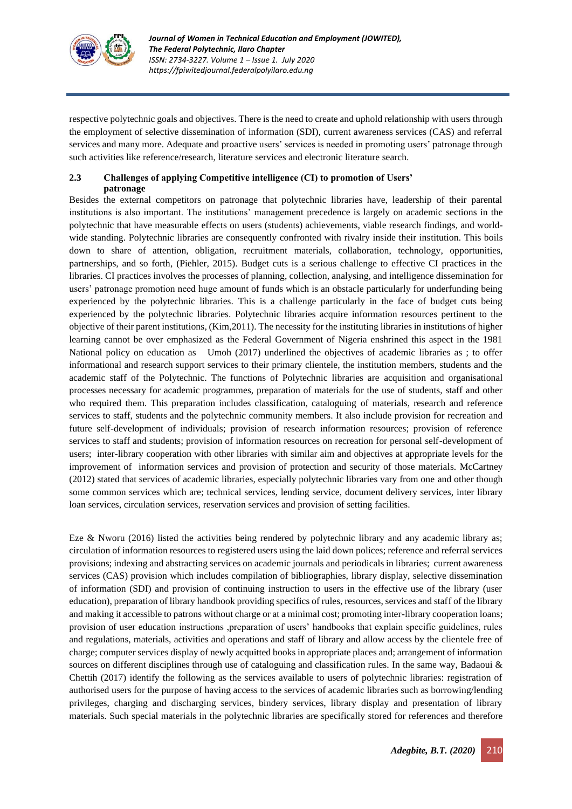

respective polytechnic goals and objectives. There is the need to create and uphold relationship with users through the employment of selective dissemination of information (SDI), current awareness services (CAS) and referral services and many more. Adequate and proactive users' services is needed in promoting users' patronage through such activities like reference/research, literature services and electronic literature search.

### **2.3 Challenges of applying Competitive intelligence (CI) to promotion of Users' patronage**

Besides the external competitors on patronage that polytechnic libraries have, leadership of their parental institutions is also important. The institutions' management precedence is largely on academic sections in the polytechnic that have measurable effects on users (students) achievements, viable research findings, and worldwide standing. Polytechnic libraries are consequently confronted with rivalry inside their institution. This boils down to share of attention, obligation, recruitment materials, collaboration, technology, opportunities, partnerships, and so forth, (Piehler, 2015). Budget cuts is a serious challenge to effective CI practices in the libraries. CI practices involves the processes of planning, collection, analysing, and intelligence dissemination for users' patronage promotion need huge amount of funds which is an obstacle particularly for underfunding being experienced by the polytechnic libraries. This is a challenge particularly in the face of budget cuts being experienced by the polytechnic libraries. Polytechnic libraries acquire information resources pertinent to the objective of their parent institutions, (Kim,2011). The necessity for the instituting libraries in institutions of higher learning cannot be over emphasized as the Federal Government of Nigeria enshrined this aspect in the 1981 National policy on education as Umoh (2017) underlined the objectives of academic libraries as ; to offer informational and research support services to their primary clientele, the institution members, students and the academic staff of the Polytechnic. The functions of Polytechnic libraries are acquisition and organisational processes necessary for academic programmes, preparation of materials for the use of students, staff and other who required them. This preparation includes classification, cataloguing of materials, research and reference services to staff, students and the polytechnic community members. It also include provision for recreation and future self-development of individuals; provision of research information resources; provision of reference services to staff and students; provision of information resources on recreation for personal self-development of users; inter-library cooperation with other libraries with similar aim and objectives at appropriate levels for the improvement of information services and provision of protection and security of those materials. McCartney (2012) stated that services of academic libraries, especially polytechnic libraries vary from one and other though some common services which are; technical services, lending service, document delivery services, inter library loan services, circulation services, reservation services and provision of setting facilities.

Eze & Nworu (2016) listed the activities being rendered by polytechnic library and any academic library as; circulation of information resources to registered users using the laid down polices; reference and referral services provisions; indexing and abstracting services on academic journals and periodicals in libraries; current awareness services (CAS) provision which includes compilation of bibliographies, library display, selective dissemination of information (SDI) and provision of continuing instruction to users in the effective use of the library (user education), preparation of library handbook providing specifics of rules, resources, services and staff of the library and making it accessible to patrons without charge or at a minimal cost; promoting inter-library cooperation loans; provision of user education instructions ,preparation of users' handbooks that explain specific guidelines, rules and regulations, materials, activities and operations and staff of library and allow access by the clientele free of charge; computer services display of newly acquitted books in appropriate places and; arrangement of information sources on different disciplines through use of cataloguing and classification rules. In the same way, Badaoui & Chettih (2017) identify the following as the services available to users of polytechnic libraries: registration of authorised users for the purpose of having access to the services of academic libraries such as borrowing/lending privileges, charging and discharging services, bindery services, library display and presentation of library materials. Such special materials in the polytechnic libraries are specifically stored for references and therefore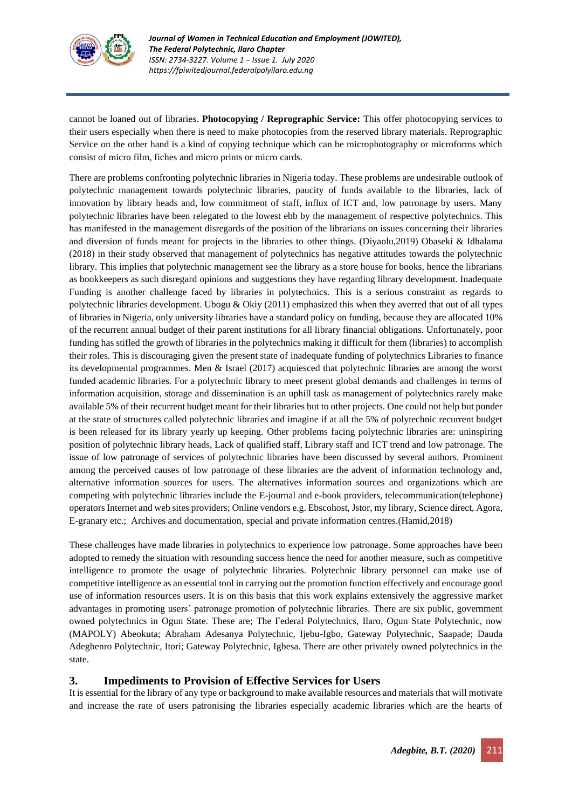

cannot be loaned out of libraries. **Photocopying / Reprographic Service:** This offer photocopying services to their users especially when there is need to make photocopies from the reserved library materials. Reprographic Service on the other hand is a kind of copying technique which can be microphotography or microforms which consist of micro film, fiches and micro prints or micro cards.

There are problems confronting polytechnic libraries in Nigeria today. These problems are undesirable outlook of polytechnic management towards polytechnic libraries, paucity of funds available to the libraries, lack of innovation by library heads and, low commitment of staff, influx of ICT and, low patronage by users. Many polytechnic libraries have been relegated to the lowest ebb by the management of respective polytechnics. This has manifested in the management disregards of the position of the librarians on issues concerning their libraries and diversion of funds meant for projects in the libraries to other things. (Diyaolu,2019) Obaseki & Idhalama (2018) in their study observed that management of polytechnics has negative attitudes towards the polytechnic library. This implies that polytechnic management see the library as a store house for books, hence the librarians as bookkeepers as such disregard opinions and suggestions they have regarding library development. Inadequate Funding is another challenge faced by libraries in polytechnics. This is a serious constraint as regards to polytechnic libraries development. Ubogu & Okiy (2011) emphasized this when they averred that out of all types of libraries in Nigeria, only university libraries have a standard policy on funding, because they are allocated 10% of the recurrent annual budget of their parent institutions for all library financial obligations. Unfortunately, poor funding has stifled the growth of libraries in the polytechnics making it difficult for them (libraries) to accomplish their roles. This is discouraging given the present state of inadequate funding of polytechnics Libraries to finance its developmental programmes. Men & Israel (2017) acquiesced that polytechnic libraries are among the worst funded academic libraries. For a polytechnic library to meet present global demands and challenges in terms of information acquisition, storage and dissemination is an uphill task as management of polytechnics rarely make available 5% of their recurrent budget meant for their libraries but to other projects. One could not help but ponder at the state of structures called polytechnic libraries and imagine if at all the 5% of polytechnic recurrent budget is been released for its library yearly up keeping. Other problems facing polytechnic libraries are: uninspiring position of polytechnic library heads, Lack of qualified staff, Library staff and ICT trend and low patronage. The issue of low patronage of services of polytechnic libraries have been discussed by several authors. Prominent among the perceived causes of low patronage of these libraries are the advent of information technology and, alternative information sources for users. The alternatives information sources and organizations which are competing with polytechnic libraries include the E-journal and e-book providers, telecommunication(telephone) operatorsInternet and web sites providers; Online vendors e.g. Ebscohost, Jstor, my library, Science direct, Agora, E-granary etc.; Archives and documentation, special and private information centres.(Hamid,2018)

These challenges have made libraries in polytechnics to experience low patronage. Some approaches have been adopted to remedy the situation with resounding success hence the need for another measure, such as competitive intelligence to promote the usage of polytechnic libraries. Polytechnic library personnel can make use of competitive intelligence as an essential tool in carrying out the promotion function effectively and encourage good use of information resources users. It is on this basis that this work explains extensively the aggressive market advantages in promoting users' patronage promotion of polytechnic libraries. There are six public, government owned polytechnics in Ogun State. These are; The Federal Polytechnics, Ilaro, Ogun State Polytechnic, now (MAPOLY) Abeokuta; Abraham Adesanya Polytechnic, Ijebu-Igbo, Gateway Polytechnic, Saapade; Dauda Adegbenro Polytechnic, Itori; Gateway Polytechnic, Igbesa. There are other privately owned polytechnics in the state.

# **3. Impediments to Provision of Effective Services for Users**

It is essential for the library of any type or background to make available resources and materials that will motivate and increase the rate of users patronising the libraries especially academic libraries which are the hearts of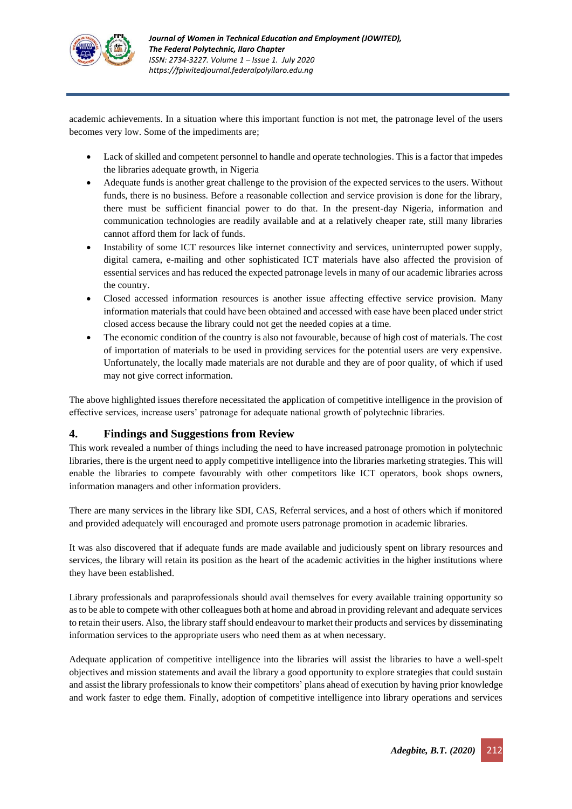

academic achievements. In a situation where this important function is not met, the patronage level of the users becomes very low. Some of the impediments are;

- Lack of skilled and competent personnel to handle and operate technologies. This is a factor that impedes the libraries adequate growth, in Nigeria
- Adequate funds is another great challenge to the provision of the expected services to the users. Without funds, there is no business. Before a reasonable collection and service provision is done for the library, there must be sufficient financial power to do that. In the present-day Nigeria, information and communication technologies are readily available and at a relatively cheaper rate, still many libraries cannot afford them for lack of funds.
- Instability of some ICT resources like internet connectivity and services, uninterrupted power supply, digital camera, e-mailing and other sophisticated ICT materials have also affected the provision of essential services and has reduced the expected patronage levels in many of our academic libraries across the country.
- Closed accessed information resources is another issue affecting effective service provision. Many information materials that could have been obtained and accessed with ease have been placed under strict closed access because the library could not get the needed copies at a time.
- The economic condition of the country is also not favourable, because of high cost of materials. The cost of importation of materials to be used in providing services for the potential users are very expensive. Unfortunately, the locally made materials are not durable and they are of poor quality, of which if used may not give correct information.

The above highlighted issues therefore necessitated the application of competitive intelligence in the provision of effective services, increase users' patronage for adequate national growth of polytechnic libraries.

# **4. Findings and Suggestions from Review**

This work revealed a number of things including the need to have increased patronage promotion in polytechnic libraries, there is the urgent need to apply competitive intelligence into the libraries marketing strategies. This will enable the libraries to compete favourably with other competitors like ICT operators, book shops owners, information managers and other information providers.

There are many services in the library like SDI, CAS, Referral services, and a host of others which if monitored and provided adequately will encouraged and promote users patronage promotion in academic libraries.

It was also discovered that if adequate funds are made available and judiciously spent on library resources and services, the library will retain its position as the heart of the academic activities in the higher institutions where they have been established.

Library professionals and paraprofessionals should avail themselves for every available training opportunity so as to be able to compete with other colleagues both at home and abroad in providing relevant and adequate services to retain their users. Also, the library staff should endeavour to market their products and services by disseminating information services to the appropriate users who need them as at when necessary.

Adequate application of competitive intelligence into the libraries will assist the libraries to have a well-spelt objectives and mission statements and avail the library a good opportunity to explore strategies that could sustain and assist the library professionals to know their competitors' plans ahead of execution by having prior knowledge and work faster to edge them. Finally, adoption of competitive intelligence into library operations and services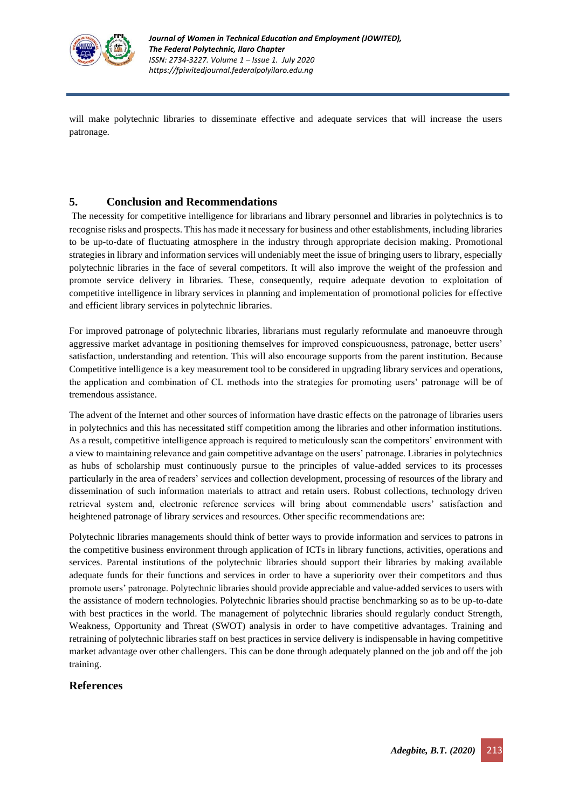

will make polytechnic libraries to disseminate effective and adequate services that will increase the users patronage.

# **5. Conclusion and Recommendations**

The necessity for competitive intelligence for librarians and library personnel and libraries in polytechnics is to recognise risks and prospects. This has made it necessary for business and other establishments, including libraries to be up-to-date of fluctuating atmosphere in the industry through appropriate decision making. Promotional strategies in library and information services will undeniably meet the issue of bringing users to library, especially polytechnic libraries in the face of several competitors. It will also improve the weight of the profession and promote service delivery in libraries. These, consequently, require adequate devotion to exploitation of competitive intelligence in library services in planning and implementation of promotional policies for effective and efficient library services in polytechnic libraries.

For improved patronage of polytechnic libraries, librarians must regularly reformulate and manoeuvre through aggressive market advantage in positioning themselves for improved conspicuousness, patronage, better users' satisfaction, understanding and retention. This will also encourage supports from the parent institution. Because Competitive intelligence is a key measurement tool to be considered in upgrading library services and operations, the application and combination of CL methods into the strategies for promoting users' patronage will be of tremendous assistance.

The advent of the Internet and other sources of information have drastic effects on the patronage of libraries users in polytechnics and this has necessitated stiff competition among the libraries and other information institutions. As a result, competitive intelligence approach is required to meticulously scan the competitors' environment with a view to maintaining relevance and gain competitive advantage on the users' patronage. Libraries in polytechnics as hubs of scholarship must continuously pursue to the principles of value-added services to its processes particularly in the area of readers' services and collection development, processing of resources of the library and dissemination of such information materials to attract and retain users. Robust collections, technology driven retrieval system and, electronic reference services will bring about commendable users' satisfaction and heightened patronage of library services and resources. Other specific recommendations are:

Polytechnic libraries managements should think of better ways to provide information and services to patrons in the competitive business environment through application of ICTs in library functions, activities, operations and services. Parental institutions of the polytechnic libraries should support their libraries by making available adequate funds for their functions and services in order to have a superiority over their competitors and thus promote users' patronage. Polytechnic libraries should provide appreciable and value-added services to users with the assistance of modern technologies. Polytechnic libraries should practise benchmarking so as to be up-to-date with best practices in the world. The management of polytechnic libraries should regularly conduct Strength, Weakness, Opportunity and Threat (SWOT) analysis in order to have competitive advantages. Training and retraining of polytechnic libraries staff on best practices in service delivery is indispensable in having competitive market advantage over other challengers. This can be done through adequately planned on the job and off the job training.

# **References**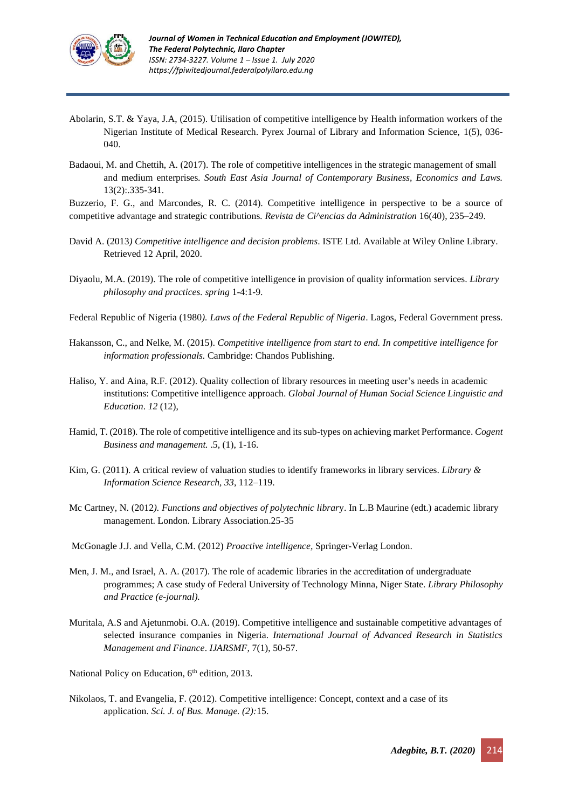

- Abolarin, S.T. & Yaya, J.A, (2015). Utilisation of competitive intelligence by Health information workers of the Nigerian Institute of Medical Research. Pyrex Journal of Library and Information Science, 1(5), 036- 040.
- Badaoui, M. and Chettih, A. (2017). The role of competitive intelligences in the strategic management of small and medium enterprises*. South East Asia Journal of Contemporary Business, Economics and Laws.* 13(2):.335-341.

Buzzerio, F. G., and Marcondes, R. C. (2014). Competitive intelligence in perspective to be a source of competitive advantage and strategic contributions*. Revista de Ci^encias da Administration* 16(40), 235–249.

- David A. (2013*) Competitive intelligence and decision problems*. ISTE Ltd. Available at Wiley Online Library. Retrieved 12 April, 2020.
- Diyaolu, M.A. (2019). The role of competitive intelligence in provision of quality information services. *Library philosophy and practices. spring* 1-4:1-9.
- Federal Republic of Nigeria (1980*). Laws of the Federal Republic of Nigeria*. Lagos, Federal Government press.
- Hakansson, C., and Nelke, M. (2015). *Competitive intelligence from start to end. In competitive intelligence for information professionals.* Cambridge: Chandos Publishing.
- Haliso, Y. and Aina, R.F. (2012). Quality collection of library resources in meeting user's needs in academic institutions: Competitive intelligence approach. *Global Journal of Human Social Science Linguistic and Education*. *12* (12),
- Hamid, T. (2018). The role of competitive intelligence and its sub-types on achieving market Performance. *Cogent Business and management.* .5, (1), 1-16.
- Kim, G. (2011). A critical review of valuation studies to identify frameworks in library services. *Library & Information Science Research, 33*, 112–119.
- Mc Cartney, N. (2012*). Functions and objectives of polytechnic librar*y. In L.B Maurine (edt.) academic library management. London. Library Association.25-35

McGonagle J.J. and Vella, C.M. (2012) *Proactive intelligence,* Springer-Verlag London.

- Men, J. M., and Israel, A. A. (2017). The role of academic libraries in the accreditation of undergraduate programmes; A case study of Federal University of Technology Minna, Niger State. *Library Philosophy and Practice (e-journal).*
- Muritala, A.S and Ajetunmobi. O.A. (2019). Competitive intelligence and sustainable competitive advantages of selected insurance companies in Nigeria. *International Journal of Advanced Research in Statistics Management and Finance*. *IJARSMF,* 7(1), 50-57.

National Policy on Education, 6<sup>th</sup> edition, 2013.

Nikolaos, T. and Evangelia, F. (2012). Competitive intelligence: Concept, context and a case of its application*. Sci. J. of Bus. Manage. (2):*15.